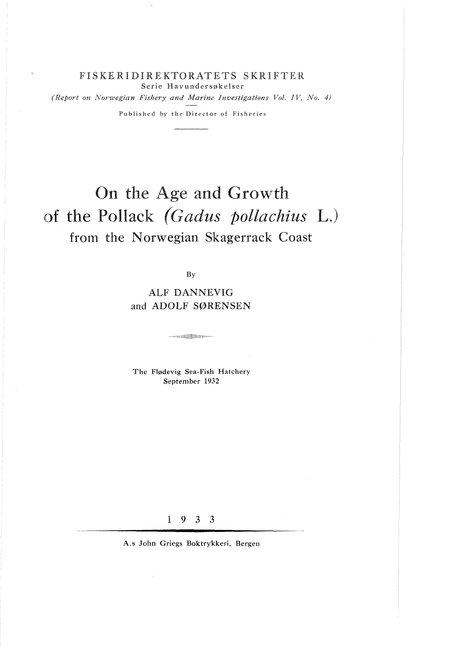## FISKERIDIREKTORATETS SKRIFTER Serie Havundersøkelser

(Report on Norwegian Fishery and Marine Investigations Vol. IV, No. 4)

Published by the Director of Fisheries

## On the Age and Growth of the Pollack (Gadus pollachius L.) from the Norwegian Skagerrack Coast

By

ALF DANNEVIG and ADOLF SØRENSEN

The Flødevig Sea-Fish Hatchery September 1932

> 3 1 9.  $3<sup>1</sup>$

A.s John Griegs Boktrykkeri, Bergen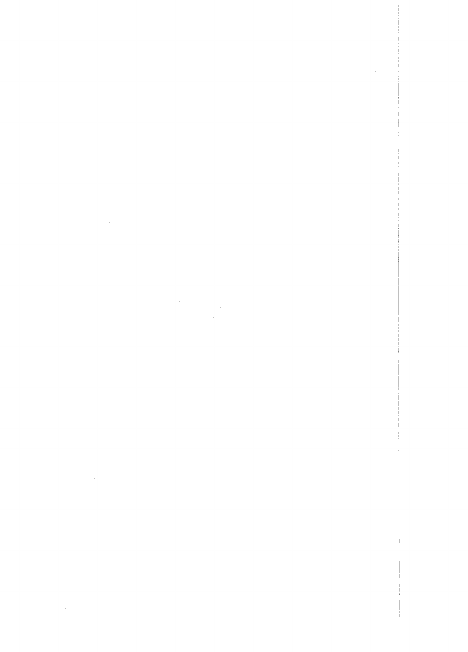$\ddot{\phantom{0}}$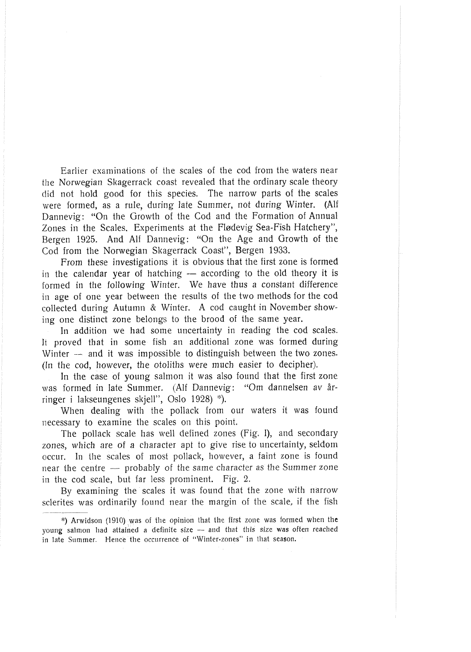Earlier examinations of the scales of the cod from the waters near the Norwegian Skagerrack coast revealed that the ordinary scale theory did not hold good for this species. The narrow parts of the scales were formed, as a rule, during late Summer, not during Winter. (Alf Dannevig: "On the Growth of the Cod and the Formation of Annual Zones in the Scales. Experiments at the Flødevig Sea-Fish Hatchery", Bergen 1925. And Alf Dannevig: "On the Age and Growth of the Cod from the Norwegian Skagerrack Coast", Bergen 1933.

From these investigations it is obvious that the first zone is formed in the calendar year of hatching  $-$  according to the old theory it is formed in the following Winter. We have thus a constant difference in age of one year between the results of the two methods for the cod collected during Autumn & Winter. A cod caught in November showing one distinct zone belongs to the brood of the same year.

In addition we had some uncertainty in reading the cod scales. It proved that in some fish an additional zone was formed during Winter  $-$  and it was impossible to distinguish between the two zones. (In the cod, however, the otoliths were much easier to decipher).

In the case of young salmon it was also found that the first zone was formed in late Summer. (Alf Dannevig: "Om dannelsen av årringer i lakseungenes skjell", Oslo 1928) \*).

When dealing with the pollack from our waters it was found necessary to examine the scales on this point.

The pollack scale has well defined zones (Fig. I), and secondary zones, which are of a character apt to give rise to uncertainty, seldom occur. In the scales of most pollack, however, a faint zone is found zones, which are or a character apt to give rise to uncertainty, seldom<br>occur. In the scales of most pollack, however, a faint zone is found<br>near the centre — probably of the same character as the Summer zone in the cod scale, but far less prominent. Fig. 2.

By examining the scales it was found that the zone with narrow sclerites was ordinarily found near the margin of the scale, if the fish  $\frac{1}{2}$ 

<sup>&</sup>quot;) Arwidson (1910) was of the opinion that the first zone was formed when the young salmon had attained a definite size -- and that this size was often reached in late Summer. Hence the occurrence of "Winter-zones" in that season.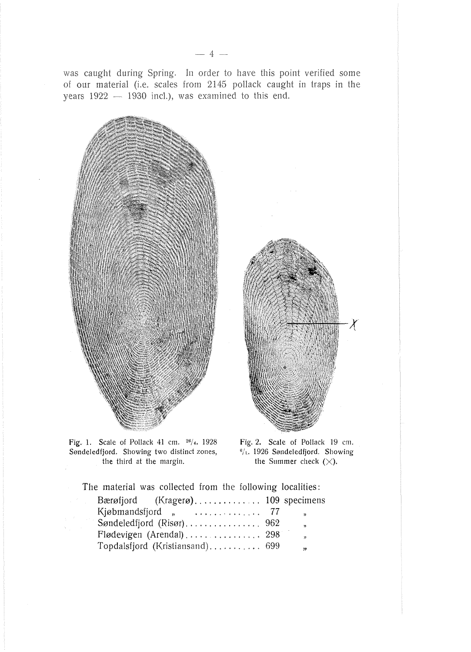was caught during Spring. In order to have this point verified some was eargin daring oping. In state to have this point verified some<br>of our material (i.e. scales from 2145 pollack caught in traps in the<br>years 1922 — 1930 incl.), was examined to this end.



Fig. 1. Scale of Pollack 41 cm.  $26/4$ . 1928 Fig. 2. Scale of Pollack 19 cm.<br>Søndeledfjord. Showing two distinct zones,  $6/1$ . 1926 Søndeledfjord. Showing Søndeledfjord. Showing two distinct zones, the third at the margin.

the Summer check  $(\times)$ .

|  |  |  |  |  |  |  | The material was collected from the following localities: |
|--|--|--|--|--|--|--|-----------------------------------------------------------|
|--|--|--|--|--|--|--|-----------------------------------------------------------|

| Bærøfjord (Kragerø) 109 specimens |              |
|-----------------------------------|--------------|
|                                   | 11           |
| Søndeledfjord (Risør) 962         | $\mathbf{H}$ |
| Flødevigen (Arendal)  298         | $\mathbf{H}$ |
| Topdalsfjord (Kristiansand) 699   | ,,           |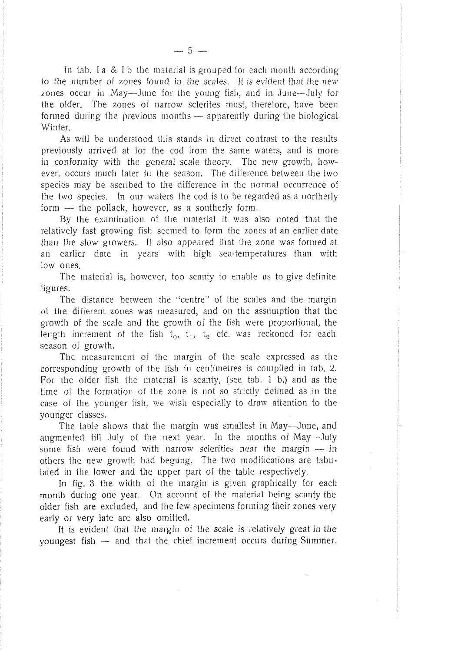In tab. I a  $&$  I b the material is grouped for each month according to the number of zones found in the scales. It is evident that the new zones occur in May-June for the young fish, and in June-July for the older. The zones of narrow sclerites must, therefore, have been formed during the previous months - apparently during the biological<br>formed during the previous months - apparently during the biological Winter.

As will be understood this stands in direct contrast to the results previously arrived at for the cod from the same waters, and is more in conformity with the general scale theory. The new growth, however, occurs much later in the season. The difference between the two species may be ascribed to the difference in the normal occurrence of the two species. In our waters the cod is to be regarded as a northerly species may be ascribed to the difference in the not<br>the two species. In our waters the cod is to be regardorm.<br>form — the pollack, however, as a southerly form.

By the examination of the material it was also noted that the relatively fast growing fish seemed to form the zones at an earlier date than the slow growers. It also appeared that the zone was formed at an earlier date in years with high sea-temperatures than with Iow ones.

The material is, however, too scanty to enable us to give definite figures.

The distance between the "centre" of the scales and the margin of the different zones was measured, and on the assumption that the growth of the scale and the growth of the fish were proportional, the length increment of the fish  $t_0$ ,  $t_1$ ,  $t_2$  etc. was reckoned for each season of growth.

The measurement of the margin of the scale expressed as the corresponding growth of the fish in centimetres is compiled in tab. 2. For the older fish the material is scanty, (see tab.  $1$  b.) and as the time of the formation of the zone is not so strictly defined as in the case of the younger fish, we wish especially to draw attention to the younger classes.

The table shows that the margin was smallest in May-June, and augmented till July of the next year. In the months of May—July some fish were found with narrow sclerities near the margin - in<br>some fish were found with narrow sclerities near the margin - in others the new growth had begung. The two modifications are tabulated in the lower and the upper part of the table respectively.

In fig. 3 the width of the margin is given graphically for each month during one year. On account of the material being scanty the older fish are excluded, and the few specimens forming their zones very early or very late are also omitted.

It is evident that the margin of the scale is relatively great in the youngest fish  $-$  and that the chief increment occurs during Summer.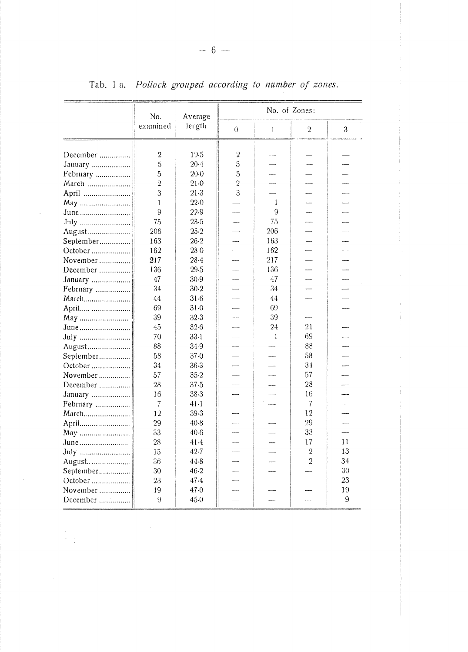|             | No.            | Average  |                          |       | No. of Zones:  |    |
|-------------|----------------|----------|--------------------------|-------|----------------|----|
|             | examined       | length   | $\theta$                 | 1     | $\overline{2}$ | 3  |
| December    | 2              | 19.5     | 2                        |       |                |    |
| January     | 5              | $20-4$   | 5                        |       |                |    |
| February    | 5              | $20 - 0$ | 5                        |       |                |    |
| March       | $\overline{2}$ | $21-0$   | $\overline{2}$           |       |                |    |
| April       | 3              | 21.3     | 3                        |       |                |    |
| May         | 1              | 22.0     |                          | 1     |                |    |
| June        | 9              | 22.9     | $\sim$                   | 9     |                |    |
| July        | 75             | 23.5     | $\overline{\phantom{a}}$ | 75    |                |    |
| August      | 206            | 25.2     |                          | 206   |                |    |
| September   | 163            | 26.2     |                          | 163   |                |    |
| October     | 162            | $28 - 0$ |                          | 162   |                |    |
| November    | 217            | 28.4     |                          | 217   |                |    |
| December    | 136            | 29.5     |                          | 136   |                |    |
| January  ii | 47             | 30.9     | $\overline{\phantom{a}}$ | 47    |                |    |
| February    | 34             | $30-2$   | i<br>Indonésia           | 34    |                |    |
| March       | 44             | 31.6     |                          | 44    |                |    |
| April       | 69             | 31.0     |                          | 69    |                |    |
| May         | 39             | 32.3     |                          | 39    |                |    |
| June        | 45             | 32.6     |                          | 24    | 21             |    |
| July        | 70             | 33.1     |                          | 1     | 69             |    |
| August      | 88             | 34.9     |                          |       | 88             |    |
| September   | 58             | 37.0     |                          |       | 58             |    |
| October     | 34             | 363      |                          |       | 34             |    |
| November    | 57             | 352      |                          |       | 57             |    |
| December    | 28             | 37.5     |                          |       | 28             |    |
| January     | 16             | 38.3     |                          |       | 16             |    |
| February    | 7              | 41.1     | $\overline{\phantom{0}}$ |       | 7              |    |
|             | 12             | 393      |                          |       | 12             |    |
| April       | 29             | 40.8     | — -                      | سيبيب | 29             |    |
| May         | 33             | $40-6$   |                          |       | 33             |    |
| June        | 28             | 41.4     | .                        |       | 17             | 11 |
| July        | 15             | 42.7     |                          |       | $\overline{2}$ | 13 |
| August      | 36             | 44.8     |                          |       | $\overline{2}$ | 34 |
| September   | 30             | 46.2     |                          |       |                | 30 |
| October     | 23             | 47.4     |                          |       |                | 23 |
| November    | 19             | 47.0     |                          |       |                | 19 |
| December    | 9              | 450      |                          |       |                | 9  |
|             |                |          |                          |       |                |    |

Tab. 1 a. Pollack grouped according to number of zones.

 $-6-$ 

 $\overline{\phantom{a}}$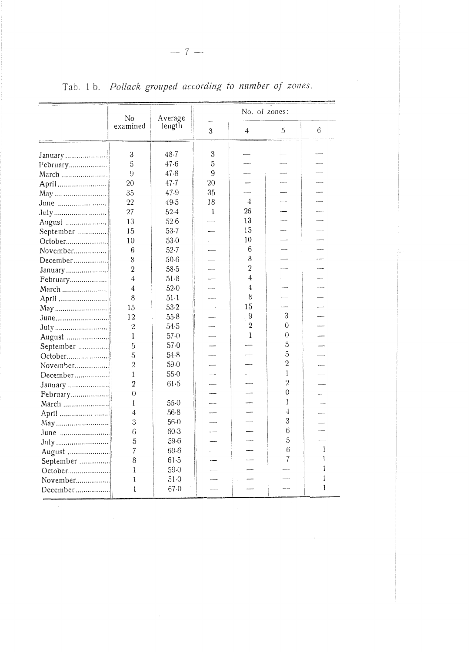|           | No             | Average  |                          | No. of zones:    |                |              |
|-----------|----------------|----------|--------------------------|------------------|----------------|--------------|
|           | examined       | length   | 3                        | $\overline{4}$   | 5              | 6            |
| January   | 3              | 48.7     | 3                        |                  |                |              |
| February  | 5              | 47.6     | 5                        |                  |                |              |
| March     | 9              | 47.8     | 9                        |                  |                |              |
| April     | 20             | 47.7     | 20                       |                  |                |              |
| May       | 35             | 47.9     | 35                       |                  |                |              |
| June      | 22             | 49.5     | 18                       | 4                |                |              |
| July      | 27             | 52.4     | $\mathbf{1}$             | 26               |                |              |
| August    | 13             | 52.6     |                          | 13               |                |              |
| September | 15             | $53-7$   |                          | 15               |                |              |
| October   | 10             | 53.0     |                          | 10               |                |              |
| November  | 6              | $52-7$   |                          | 6                |                |              |
| December  | 8              | $50-6$   |                          | 8                |                |              |
|           | $\overline{2}$ | 58.5     |                          | $\boldsymbol{2}$ |                |              |
| February  | $\overline{4}$ | $51-8$   |                          | 4                |                |              |
| March     | 4              | 52.0     |                          | 4                |                |              |
| April     | 8              | $51-1$   |                          | 8                |                |              |
|           | 15             | 53.2     | $\overline{\phantom{a}}$ | 15               |                |              |
|           | 12             | $55 - 8$ |                          | $\frac{1}{1}$ 9  | 3              |              |
|           | $\overline{2}$ | 54.5     |                          | $\mathbf{2}$     | $\Omega$       |              |
|           | 1              | 57.0     |                          | 1                | 0              |              |
| September | 5              | 57.0     |                          |                  | 5              |              |
|           | 5              | 54.8     |                          |                  | 5              |              |
| November  | $\overline{2}$ | 59.0     | $\overline{\phantom{a}}$ |                  | $\overline{2}$ |              |
| December  | 1              | $55-0$   |                          |                  | 1              |              |
| January   | $\overline{2}$ | 61.5     |                          |                  | $\overline{2}$ |              |
| February  | $\overline{0}$ |          |                          |                  | $\overline{0}$ |              |
|           | 1              | 55.0     | ---                      |                  | 1              |              |
|           | $\overline{4}$ | $56 - 8$ |                          |                  | $\overline{4}$ |              |
| April     | 3              | 56.0     |                          |                  | 3              |              |
|           | 6              | $60-3$   | للمسالم                  |                  | 6              |              |
| June      | 5              | 59.6     |                          |                  | 5              |              |
| July      | $\overline{7}$ | 60.6     |                          |                  | 6              | $\mathbf{1}$ |
| August    | 8              | 61.5     |                          |                  | 7              | 1            |
| September | 1              | 59.0     |                          |                  |                | 1            |
| October   | 1              | 51.0     |                          |                  |                | $\mathbb{I}$ |
| November  | 1              | 67.0     |                          |                  |                | 1            |
| December  |                |          |                          |                  |                |              |

Tab. 1 b. Pollack grouped according to number of zones.

 $-7$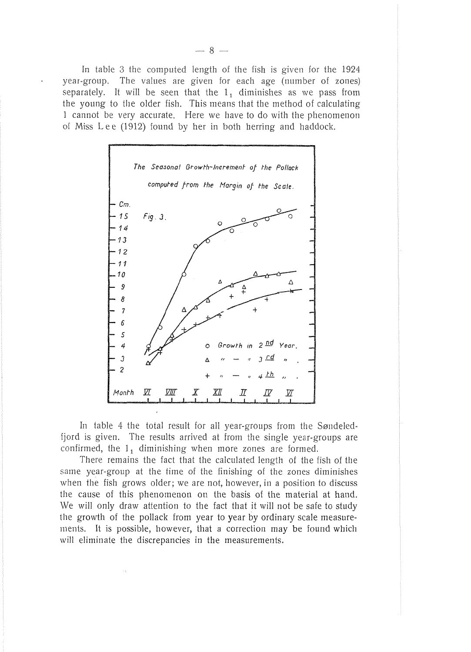In table 3 the computed length of the fish is given for the 1924 year-group. The values are given for each age (number of zones) separately. It will be seen that the  $1<sub>1</sub>$  diminishes as we pass from the young to the older fish. This means that the method of caiculating 1 cannot be very accurate. Here we have to do with the phenomenon of Miss Lee (1912) found by her in both herring and haddock.



In table 4 the total result for all year-groups from the Søndeledfjord is given. The results arrived at from the single year-groups are confirmed, the 1, diminishing when more zones are formed.

There remains the fact that the calculated length of the fish of the same year-group at the time of the finishing of the zones diminishes when the fish grows older; we are not, however, in a position to discuss the cause of this phenomenon on the basis of the material at hand. We will only draw attention to the fact that it will not be safe to study the growth of the pollack from year to year by ordinary scale measurements. It is possible, however, that a correction may be found which will eliminate the discrepancies in the measurements.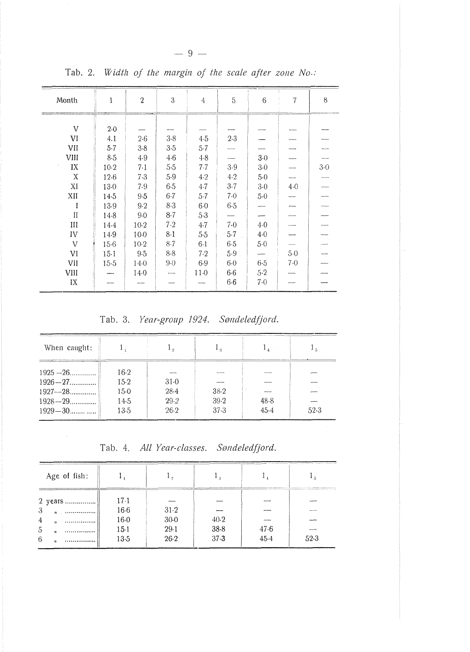$\overline{7}$ Month  $\mathbbm{1}$  $\overline{2}$ 3  $\frac{4}{3}$ 5 6  $\mathbf{V}$  $2.0$  $\overline{\phantom{a}}$  $\overline{\phantom{a}}$  $\overline{\phantom{a}}$  $\mbox{VI}$  $4.1$  $2.6$  $3.8$  $4.5$  $2\mathord{\cdot}3$  $\overline{\phantom{0}}$ VII  $5.7$  $3.8\,$  $3.5$  $5.7$  $\overline{\phantom{a}}$  $\frac{1}{2}$ VIII  $8.5$ 4.9  $4.6$  $4.8$  $3.0$ .....  $\mathbf{I}$ X  $7.1$  $5.5$  $7.7$ 3.9  $3.0$  $10-2$ —<br>———  $\boldsymbol{\mathrm{X}}$  $12.6$  $7.3$  $5.9\,$  $4.2$  $4.2$  $5.0$  $\overline{\phantom{a}}$ XI 7.9  $3.7$  $4 - 0$ 13.0  $6.5$ 4.7  $3.0$ XII 14.5 9.5  $6.7$  $5.7$ 7.0  $5-0$ -----

 $6-0$ 

 $5.3\,$ 

 $4.7$ 

 $5.5$ 

 $6.1$ 

 $7.2$ 

6.9

 $11.0\,$ 

 $6.5$ 

 $\overline{\phantom{a}}$ 

 $7.0$ 

 $5.7\,$ 

 $6.5$ 

5.9

 $6-0$ 

 $6 - 6$ 

 $6.6$ 

 $\overline{a}$ 

L.

 $4.0$  $4.0$ 

 $5.0$ 

 $\overline{\phantom{a}}$ 

 $6·5$ 

 $5-2$ 

 $7.0$ 

 $\mathbf I$ 

 $\prod$ 

 $\prod$ 

IV

V

VI

VII

VIII

 $\overline{\rm I}$ X

13.9

 $14.8$ 

14.4

14.9

 $15.6$ 

 $15.1$ 

 $15-5$ 

---

L.

 $9.2\,$ 

 $9.0$ 

10.2

10.0

 $10-2$ 

 $9.5$ 

14.0

 $14.0$ 

 $\overline{a}$ 

 $8.3\,$ 

 $8.7$ 

 $7.2$ 

 $8.1$ 

 $8.7$ 

 $8.8\,$ 

 $9.0$ 

 $\overline{a}$ 

Tab. 2. Width of the margin of the scale after zone No.:

 $\,8\,$ 

 $\overline{\phantom{0}}$ 

 $\overline{\phantom{a}}$ 

 $3.0$ 

 $\overline{\phantom{0}}$ 

 $\overline{\phantom{a}}$ 

 $\overline{\phantom{a}}$ 

 $\overline{a}$ 

<u>.</u>

 $5.0$ 

 $7.0$ 

 $\overline{a}$ 

Year-group 1924. Søndeledfjord. Tab. 3.

| When caught:               |              |             |                          |                   |       |
|----------------------------|--------------|-------------|--------------------------|-------------------|-------|
| $1925 - 26$<br>$1926 - 27$ | 16.2<br>15.2 | ___<br>31.0 | ----<br><b>CONTINUES</b> | <b>CONTRACTOR</b> | ----- |
| $1927 - 28$                | 15.0         | 28.4        | 38.2                     |                   |       |
| $1928 - 29$                | 14.5         | 29.2        | 39.2                     | 48.8              |       |
| $1929 - 30$                | 13.5         | 26.2        | 37.3                     | 45.4              | 52.3  |

Tab. 4. All Year-classes. Søndeledfjord.

| And in the property state of the anti-committee man<br>Age of fish: | The property of the company's property and the company's company's company's and the company's company's company's |                                |      |      | <b>COMPROVE COMPONENTATION</b> AND A PERSON COMPANY AND COMPANY COURT AND CONTRACT OF THE CONTRACT OF THE COMPONENT OF THE COMPANY OF THE COMPANY OF THE COMPANY OF THE COMPANY OF THE COMPANY OF THE COMPANY OF THE COMPANY OF THE<br><b>CONTRACTOR IN THE CASE OF A CASE OF A CASE OF A CASE OF A CASE OF A CASE OF A CASE OF A CASE OF A CASE OF A CASE OF A</b><br>The booth components are considered an announcement and an accuracy of the first service of the construction of |
|---------------------------------------------------------------------|--------------------------------------------------------------------------------------------------------------------|--------------------------------|------|------|----------------------------------------------------------------------------------------------------------------------------------------------------------------------------------------------------------------------------------------------------------------------------------------------------------------------------------------------------------------------------------------------------------------------------------------------------------------------------------------|
|                                                                     | 17.1                                                                                                               | <b><i><u>PERMITTEN</u></i></b> |      |      | <b>The Property</b>                                                                                                                                                                                                                                                                                                                                                                                                                                                                    |
| <br>$23 - 1$                                                        | $16-6$                                                                                                             | 31.2                           |      | ---  | <b>Colorador</b>                                                                                                                                                                                                                                                                                                                                                                                                                                                                       |
| <b>.</b><br>32                                                      | 16.0                                                                                                               | $30-0$                         | 40.2 |      | ----                                                                                                                                                                                                                                                                                                                                                                                                                                                                                   |
| N<br>,,,,,,,,,,,,,,,,<br>55                                         | 15.1                                                                                                               | 29.1                           | 38.8 | 47.6 |                                                                                                                                                                                                                                                                                                                                                                                                                                                                                        |
| n<br>$\mathbf{H}$<br><b>.</b>                                       | $13-5$                                                                                                             | 26.2                           | 37.3 | 45.4 | $52-3$                                                                                                                                                                                                                                                                                                                                                                                                                                                                                 |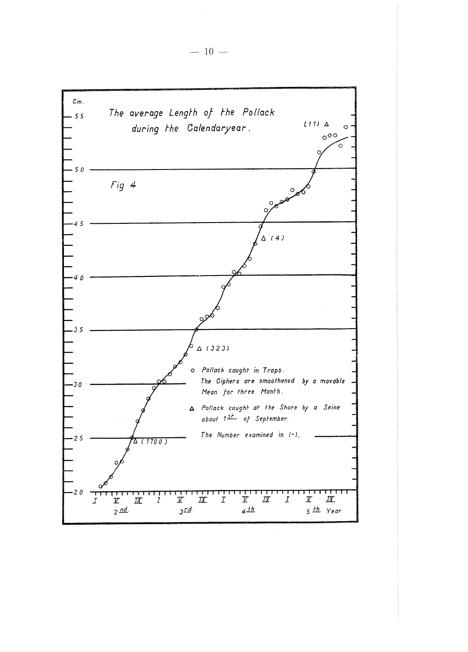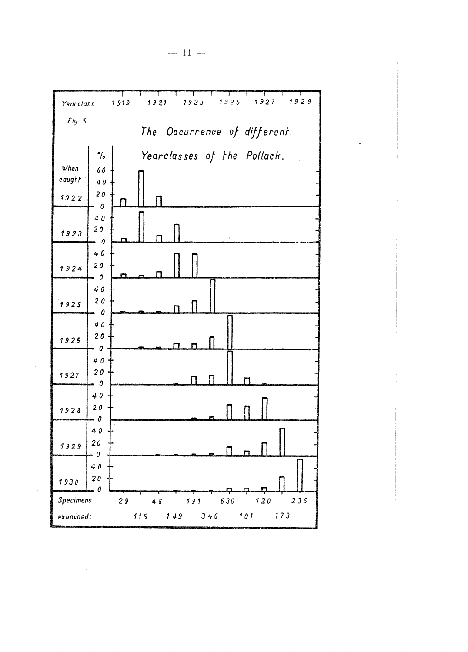| Yearclass                                       | 1925<br>1927<br>1929<br>1921<br>1923<br>1919             |
|-------------------------------------------------|----------------------------------------------------------|
| Fig. 5.                                         | The Occurrence of different.                             |
| When                                            | $^{\circ}/_{\circ}$<br>Yearclasses of the Pollack.<br>60 |
| caught:<br>1922                                 | 40<br>20                                                 |
| 40<br>20<br>1923                                | $\pmb{\theta}$<br>0                                      |
| 40<br>20<br>1924                                | 0                                                        |
| 40<br>$\boldsymbol{2}$ $\boldsymbol{0}$<br>1925 | 0                                                        |
| 40<br>20<br>1926                                | $\boldsymbol{o}$                                         |
| 40<br>20<br>1927<br>- 0                         |                                                          |
| 40<br>20<br>1928<br>-0                          |                                                          |
| 40<br>20<br>1929<br>- 0                         |                                                          |
| 40<br>$2\,\mathrm{0}$<br>1930<br>$\theta$       |                                                          |
| Specimens                                       | 120<br>29<br>191 630<br>235<br>46                        |
| examined:                                       | $149$ $346$<br>101<br>173<br>115                         |

 $\mathcal{A}^{(1)}$ 

 $\label{eq:2} \begin{split} \mathcal{L}_{\text{max}}(\mathbf{r}) = \mathcal{L}_{\text{max}}(\mathbf{r}) \mathcal{L}_{\text{max}}(\mathbf{r}) \mathcal{L}_{\text{max}}(\mathbf{r}) \mathcal{L}_{\text{max}}(\mathbf{r}) \mathcal{L}_{\text{max}}(\mathbf{r}) \mathcal{L}_{\text{max}}(\mathbf{r}) \mathcal{L}_{\text{max}}(\mathbf{r}) \mathcal{L}_{\text{max}}(\mathbf{r}) \mathcal{L}_{\text{max}}(\mathbf{r}) \mathcal{L}_{\text{max}}(\mathbf{r}) \mathcal{L}_{\text{max}}(\mathbf{r}) \mathcal$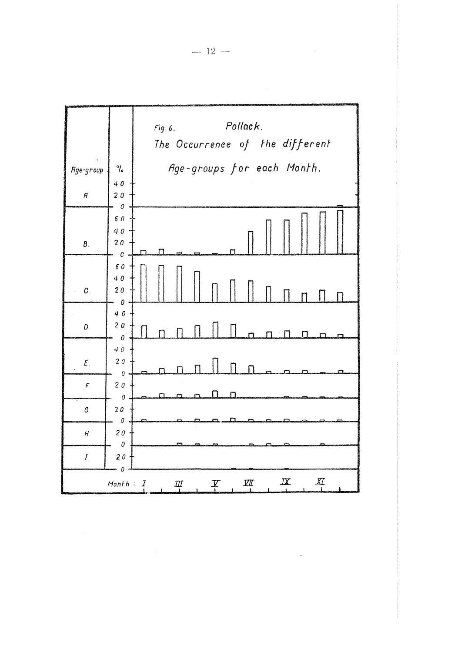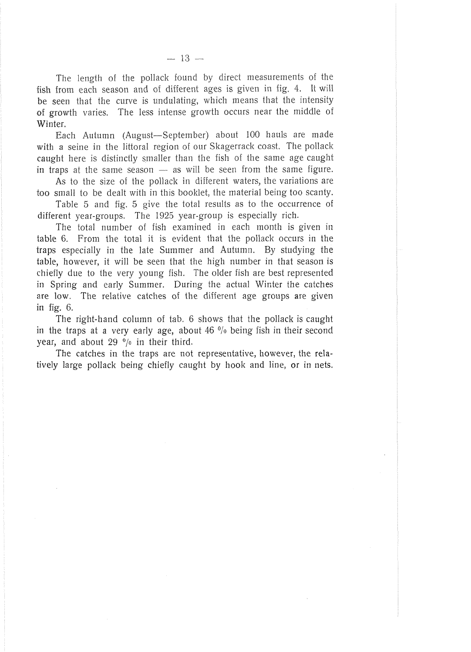The length of the pollack found by direct measurements of the fish from each season and of different ages is given in fig. 4. It will be seen that the curve is undulating, which means that the intensity of growth varies. The less intense growth occurs near the middle of Winter,

Each Autumn (August--September) about 100 hauls are made with a seine in the littoral region of our Skagerrack coast. The pollack caught here is distinctly smaller than the fish of the same age caught in traps at the same season — as will be seen from the same figure.

As *to* the size of the pollack in different waters, the variations are too small to be dealt with in this booklet, the material being too scanty.

Table 5 and fig. 5 give the total results as to the occurrence of different year-groups, The 1925 year-group is especially rich.

The total number of fish examined in each month is given in table 6. From the total it is evident that the pollack occurs in the traps especially in the late Summer and Autumn. By studying the table, however, it will be seen that the high number in that season is chiefly due to the very young fish. The older fish are best represented in Spring and early Summer. During the actual Winter the catches are low. The relative catches of the different age groups are given in fig. *6,* 

The right-hand column of tab. 6 shows that the pollack is caught in the traps at a very early age, about 46  $\frac{0}{0}$  being fish in their second year, and about 29  $\frac{0}{2}$  in their third.

The catches in the traps are not representative, however, the relatively large pollack being chiefly caught by hook and line, or in nets.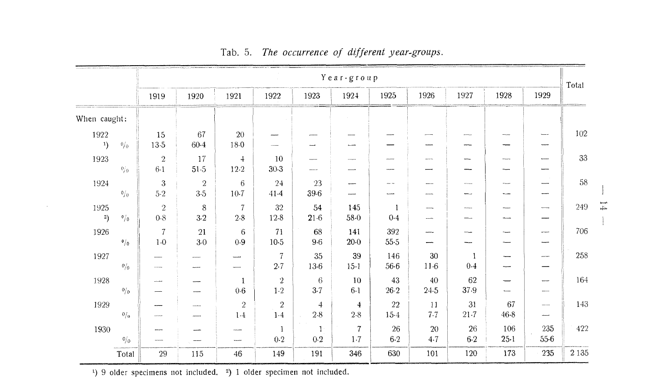|              |               |                 |                          |                     |                |                | Year-group               |                 |                |                |                          |                                                                                                                                                                                                                                                                                                                                                                                                                                               | Total    |
|--------------|---------------|-----------------|--------------------------|---------------------|----------------|----------------|--------------------------|-----------------|----------------|----------------|--------------------------|-----------------------------------------------------------------------------------------------------------------------------------------------------------------------------------------------------------------------------------------------------------------------------------------------------------------------------------------------------------------------------------------------------------------------------------------------|----------|
|              |               | 1919            | 1920                     | 1921                | 1922           | 1923           | 1924                     | 1925            | 1926           | 1927           | 1928                     | 1929                                                                                                                                                                                                                                                                                                                                                                                                                                          |          |
| When caught: |               |                 |                          |                     |                |                |                          |                 |                |                |                          |                                                                                                                                                                                                                                                                                                                                                                                                                                               |          |
| 1922         |               | 15              | 67                       | $20\,$              |                |                | -----                    |                 |                |                | -----                    | -                                                                                                                                                                                                                                                                                                                                                                                                                                             | $102\,$  |
| $\mathbf{1}$ | 0/0           | $13.5\,$        | $60-4$                   | $18.0\,$            | $\cdots$       | -              | ------                   |                 | <b>STATION</b> | -----          | ------                   | $\overline{\phantom{a}}$                                                                                                                                                                                                                                                                                                                                                                                                                      |          |
| 1923         |               | $\sqrt{2}$      | 17                       | $\overline{4}$      | 10             | ---            | ----                     |                 | <b>CONTRA</b>  |                | -                        |                                                                                                                                                                                                                                                                                                                                                                                                                                               | 33       |
|              | 0/0           | $6-1$           | 51.5                     | 12.2                | $30-3$         | $\cdots$       | -----                    | $rac{1}{2}$     | ---            |                | --                       | --------                                                                                                                                                                                                                                                                                                                                                                                                                                      |          |
| 1924         |               | $\sqrt{3}$      | $\sqrt{2}$               | $\,6\,$             | 24             | 23             | $\overline{\phantom{a}}$ | $\sim$          | ----           | <b>Without</b> | $-$ anaav                | --                                                                                                                                                                                                                                                                                                                                                                                                                                            | 58       |
|              | $0/_{\rm 0}$  | $5\!\cdot\!2$   | 3.5                      | $10-7$              | 41.4           | 39.6           | $-$                      | <b>Business</b> |                | <b>Service</b> | -                        | samen.                                                                                                                                                                                                                                                                                                                                                                                                                                        |          |
| 1925         |               | $\sqrt{2}$      | $\,8\,$                  | $\overline{7}$      | 32             | 54             | 145                      | $\mathbf{1}$    |                | ----           | -----                    | $\overline{\phantom{a}}$                                                                                                                                                                                                                                                                                                                                                                                                                      | 249      |
| $^{2}$       | 0/0           | $0.8\,$         | $3.2\,$                  | $2\mathord{\cdot}8$ | 12.8           | $21 - 6$       | $58 - 0$                 | 0.4             |                |                | <b>Security</b>          | $\hspace{0.05cm}$                                                                                                                                                                                                                                                                                                                                                                                                                             |          |
| 1926         |               | $\overline{7}$  | 21                       | 6                   | 71             | 68             | 141                      | 392             | <b>Common</b>  | <b>Homes</b>   | $-$                      | $\overline{\phantom{a}}$                                                                                                                                                                                                                                                                                                                                                                                                                      | 706      |
|              | 0/0           | $1\cdot 0$      | $3.0\,$                  | $0.9\,$             | $10-5$         | 9.6            | 20.0                     | $55-5$          | —⊶             |                | $\overline{\phantom{a}}$ | ------                                                                                                                                                                                                                                                                                                                                                                                                                                        |          |
| 1927         |               |                 | --------                 | $- -$               | $\overline{7}$ | 35             | 39                       | 146             | $30\,$         | $\mathbf{1}$   | $\sim$                   | $\frac{1}{2} \left( \frac{1}{2} \right)^{2} \left( \frac{1}{2} \right)^{2} \left( \frac{1}{2} \right)^{2} \left( \frac{1}{2} \right)^{2} \left( \frac{1}{2} \right)^{2} \left( \frac{1}{2} \right)^{2} \left( \frac{1}{2} \right)^{2} \left( \frac{1}{2} \right)^{2} \left( \frac{1}{2} \right)^{2} \left( \frac{1}{2} \right)^{2} \left( \frac{1}{2} \right)^{2} \left( \frac{1}{2} \right)^{2} \left( \frac{1}{2} \right)^{2} \left( \frac$ | 258      |
|              | $\theta/_{0}$ | ----            |                          |                     | 2.7            | $13.6\,$       | $15-1$                   | $56-6$          | $11.6\,$       | 0.4            | -                        | —                                                                                                                                                                                                                                                                                                                                                                                                                                             |          |
| 1928         |               | مست             | ----                     | 1                   | $\dot{2}$      | $\,6\,$        | $10\,$                   | 43              | 40             | 62             | $\overline{\phantom{0}}$ | $\hspace{0.5cm}$                                                                                                                                                                                                                                                                                                                                                                                                                              | 164      |
|              | 0/0           | $\cdots$        |                          | $0.6\,$             | $1\!\cdot\!2$  | 3.7            | $6-1$                    | $26-2$          | 24.5           | 37.9           | $\overline{\phantom{a}}$ | -----                                                                                                                                                                                                                                                                                                                                                                                                                                         |          |
| 1929         |               | ------          | $\overline{\phantom{a}}$ | $\sqrt{2}$          | $\overline{2}$ | $\overline{4}$ | $\overline{4}$           | $22\,$          | 11             | 31             | 67                       | $\cdots$                                                                                                                                                                                                                                                                                                                                                                                                                                      | 143      |
|              | 0/0           | $\cdots$        | -------                  | $1.4\,$             | $1\cdot 4$     | $2.8\,$        | $2\mathord{\cdot}8$      | $15-4$          | $7.7\,$        | 21.7           | 46.8                     | $\cdots$                                                                                                                                                                                                                                                                                                                                                                                                                                      |          |
| 1930         |               | $m_{\rm{F}}$    | ----                     | <b>AMARAN</b>       | 1              | $\mathbf{1}$   | $\overline{7}$           | 26              | 20             | 26             | 106                      | 235                                                                                                                                                                                                                                                                                                                                                                                                                                           | 422      |
|              | 0/0           | <b>Security</b> | ---                      | ------              | $0.2\,$        | $0.2\,$        | 1.7                      | 6.2             | 4.7            | 6.2            | 25.1                     | $55-6$                                                                                                                                                                                                                                                                                                                                                                                                                                        |          |
|              | Total         | 29              | 115                      | 46                  | 149            | 191            | 346                      | 630             | 101            | 120            | 173                      | 235                                                                                                                                                                                                                                                                                                                                                                                                                                           | $2\;135$ |

計

Tab. 5. The occurrence of different year-groups.

<sup>1</sup>) 9 older specimens not included. <sup>2</sup>) 1 older specimen not included.